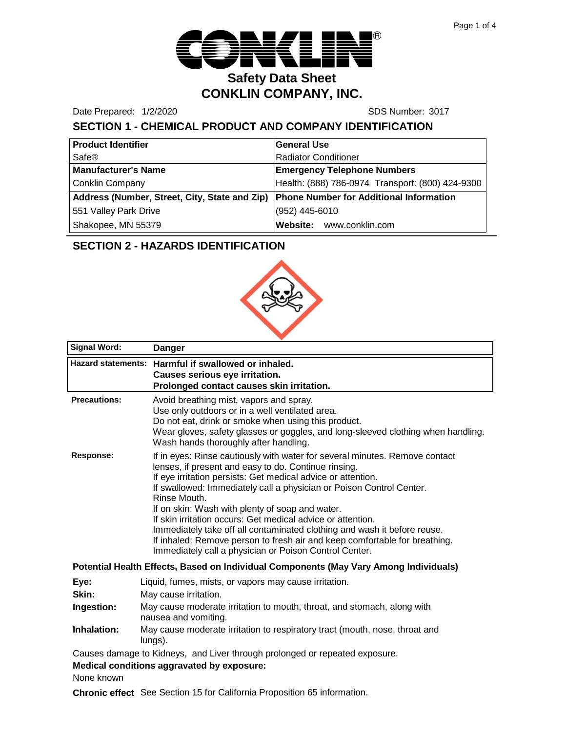

Date Prepared: 1/2/2020 SDS Number: 3017

# **SECTION 1 - CHEMICAL PRODUCT AND COMPANY IDENTIFICATION**

| <b>Product Identifier</b>                     | <b>General Use</b>                               |  |
|-----------------------------------------------|--------------------------------------------------|--|
| Safe®                                         | Radiator Conditioner                             |  |
| <b>Manufacturer's Name</b>                    | <b>Emergency Telephone Numbers</b>               |  |
| <b>Conklin Company</b>                        | Health: (888) 786-0974 Transport: (800) 424-9300 |  |
| Address (Number, Street, City, State and Zip) | <b>Phone Number for Additional Information</b>   |  |
| 551 Valley Park Drive                         | (952) 445-6010                                   |  |
| Shakopee, MN 55379                            | Website: www.conklin.com                         |  |

# **SECTION 2 - HAZARDS IDENTIFICATION**



| <b>Signal Word:</b> | <b>Danger</b>                                                                                                                                                                                                                                                                                                                                                                                                                                                                                                                                                                                                                     |  |
|---------------------|-----------------------------------------------------------------------------------------------------------------------------------------------------------------------------------------------------------------------------------------------------------------------------------------------------------------------------------------------------------------------------------------------------------------------------------------------------------------------------------------------------------------------------------------------------------------------------------------------------------------------------------|--|
|                     | Hazard statements: Harmful if swallowed or inhaled.<br>Causes serious eye irritation.<br>Prolonged contact causes skin irritation.                                                                                                                                                                                                                                                                                                                                                                                                                                                                                                |  |
| <b>Precautions:</b> | Avoid breathing mist, vapors and spray.<br>Use only outdoors or in a well ventilated area.<br>Do not eat, drink or smoke when using this product.<br>Wear gloves, safety glasses or goggles, and long-sleeved clothing when handling.<br>Wash hands thoroughly after handling.                                                                                                                                                                                                                                                                                                                                                    |  |
| Response:           | If in eyes: Rinse cautiously with water for several minutes. Remove contact<br>lenses, if present and easy to do. Continue rinsing.<br>If eye irritation persists: Get medical advice or attention.<br>If swallowed: Immediately call a physician or Poison Control Center.<br>Rinse Mouth.<br>If on skin: Wash with plenty of soap and water.<br>If skin irritation occurs: Get medical advice or attention.<br>Immediately take off all contaminated clothing and wash it before reuse.<br>If inhaled: Remove person to fresh air and keep comfortable for breathing.<br>Immediately call a physician or Poison Control Center. |  |
|                     | Potential Health Effects, Based on Individual Components (May Vary Among Individuals)                                                                                                                                                                                                                                                                                                                                                                                                                                                                                                                                             |  |
| Eye:                | Liquid, fumes, mists, or vapors may cause irritation.                                                                                                                                                                                                                                                                                                                                                                                                                                                                                                                                                                             |  |
| Skin:               | May cause irritation.                                                                                                                                                                                                                                                                                                                                                                                                                                                                                                                                                                                                             |  |
| Ingestion:          | May cause moderate irritation to mouth, throat, and stomach, along with<br>nausea and vomiting.                                                                                                                                                                                                                                                                                                                                                                                                                                                                                                                                   |  |
| Inhalation:         | May cause moderate irritation to respiratory tract (mouth, nose, throat and<br>lungs).                                                                                                                                                                                                                                                                                                                                                                                                                                                                                                                                            |  |
|                     | Causes demage to Kidnove and Liver through prolonged or repeated expensive                                                                                                                                                                                                                                                                                                                                                                                                                                                                                                                                                        |  |

Causes damage to Kidneys, and Liver through prolonged or repeated exposure.

**Medical conditions aggravated by exposure:**

None known

**Chronic effect** See Section 15 for California Proposition 65 information.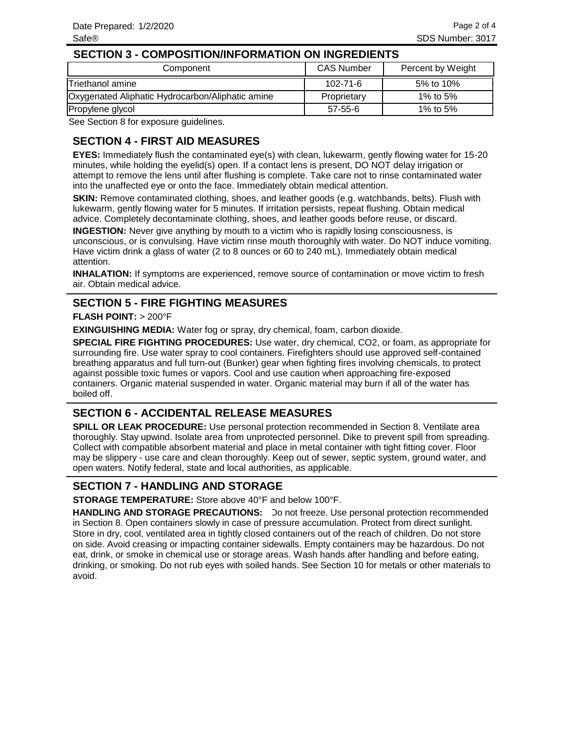#### **SECTION 3 - COMPOSITION/INFORMATION ON INGREDIENTS**

| Component                                        | <b>CAS Number</b> | Percent by Weight |
|--------------------------------------------------|-------------------|-------------------|
| Triethanol amine                                 | 102-71-6          | 5% to 10%         |
| Oxygenated Aliphatic Hydrocarbon/Aliphatic amine | Proprietary       | 1% to 5%          |
| Propylene glycol                                 | $57 - 55 - 6$     | 1% to 5%          |

See Section 8 for exposure guidelines.

## **SECTION 4 - FIRST AID MEASURES**

**EYES:** Immediately flush the contaminated eye(s) with clean, lukewarm, gently flowing water for 15-20 minutes, while holding the eyelid(s) open. If a contact lens is present, DO NOT delay irrigation or attempt to remove the lens until after flushing is complete. Take care not to rinse contaminated water into the unaffected eye or onto the face. Immediately obtain medical attention.

**SKIN:** Remove contaminated clothing, shoes, and leather goods (e.g. watchbands, belts). Flush with lukewarm, gently flowing water for 5 minutes. If irritation persists, repeat flushing. Obtain medical advice. Completely decontaminate clothing, shoes, and leather goods before reuse, or discard.

**INGESTION:** Never give anything by mouth to a victim who is rapidly losing consciousness, is unconscious, or is convulsing. Have victim rinse mouth thoroughly with water. Do NOT induce vomiting. Have victim drink a glass of water (2 to 8 ounces or 60 to 240 mL). Immediately obtain medical attention.

**INHALATION:** If symptoms are experienced, remove source of contamination or move victim to fresh air. Obtain medical advice.

## **SECTION 5 - FIRE FIGHTING MEASURES**

#### **FLASH POINT:** > 200°F

**EXINGUISHING MEDIA:** Water fog or spray, dry chemical, foam, carbon dioxide.

**SPECIAL FIRE FIGHTING PROCEDURES:** Use water, dry chemical, CO2, or foam, as appropriate for surrounding fire. Use water spray to cool containers. Firefighters should use approved self-contained breathing apparatus and full turn-out (Bunker) gear when fighting fires involving chemicals, to protect against possible toxic fumes or vapors. Cool and use caution when approaching fire-exposed containers. Organic material suspended in water. Organic material may burn if all of the water has boiled off.

## **SECTION 6 - ACCIDENTAL RELEASE MEASURES**

**SPILL OR LEAK PROCEDURE:** Use personal protection recommended in Section 8. Ventilate area thoroughly. Stay upwind. Isolate area from unprotected personnel. Dike to prevent spill from spreading. Collect with compatible absorbent material and place in metal container with tight fitting cover. Floor may be slippery - use care and clean thoroughly. Keep out of sewer, septic system, ground water, and open waters. Notify federal, state and local authorities, as applicable.

### **SECTION 7 - HANDLING AND STORAGE**

**STORAGE TEMPERATURE:** Store above 40°F and below 100°F.

HANDLING AND STORAGE PRECAUTIONS: Do not freeze. Use personal protection recommended in Section 8. Open containers slowly in case of pressure accumulation. Protect from direct sunlight. Store in dry, cool, ventilated area in tightly closed containers out of the reach of children. Do not store on side. Avoid creasing or impacting container sidewalls. Empty containers may be hazardous. Do not eat, drink, or smoke in chemical use or storage areas. Wash hands after handling and before eating, drinking, or smoking. Do not rub eyes with soiled hands. See Section 10 for metals or other materials to avoid.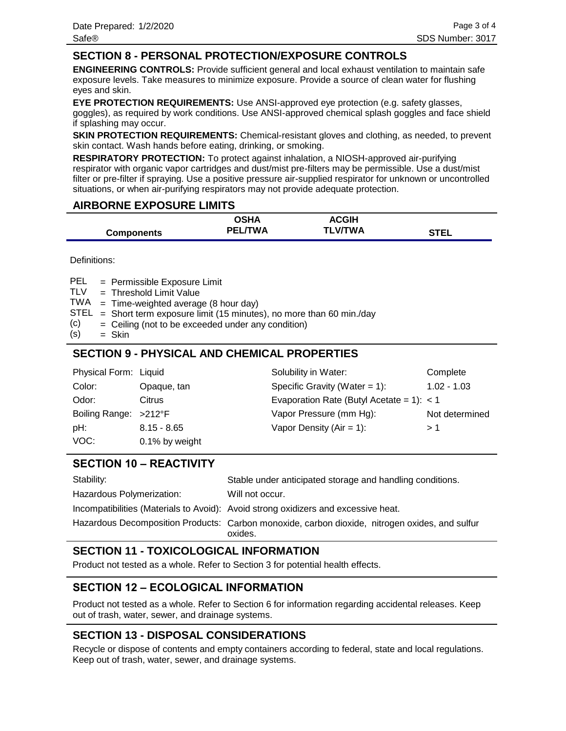### **SECTION 8 - PERSONAL PROTECTION/EXPOSURE CONTROLS**

**ENGINEERING CONTROLS:** Provide sufficient general and local exhaust ventilation to maintain safe exposure levels. Take measures to minimize exposure. Provide a source of clean water for flushing eyes and skin.

**EYE PROTECTION REQUIREMENTS:** Use ANSI-approved eye protection (e.g. safety glasses, goggles), as required by work conditions. Use ANSI-approved chemical splash goggles and face shield if splashing may occur.

**SKIN PROTECTION REQUIREMENTS:** Chemical-resistant gloves and clothing, as needed, to prevent skin contact. Wash hands before eating, drinking, or smoking.

**RESPIRATORY PROTECTION:** To protect against inhalation, a NIOSH-approved air-purifying respirator with organic vapor cartridges and dust/mist pre-filters may be permissible. Use a dust/mist filter or pre-filter if spraying. Use a positive pressure air-supplied respirator for unknown or uncontrolled situations, or when air-purifying respirators may not provide adequate protection.

### **AIRBORNE EXPOSURE LIMITS**

|                   | OSHA           | <b>ACGIH</b>   |             |
|-------------------|----------------|----------------|-------------|
| <b>Components</b> | <b>PEL/TWA</b> | <b>TLV/TWA</b> | <b>STEL</b> |

Definitions:

= Permissible Exposure Limit PEL

Threshold Limit Value = TLV

- TWA = Time-weighted average (8 hour day)
- $STEL$  = Short term exposure limit (15 minutes), no more than 60 min./day
- Ceiling (not to be exceeded under any condition) = (c)
- Skin = (s)

## **SECTION 9 - PHYSICAL AND CHEMICAL PROPERTIES**

| Physical Form: Liquid |                | Solubility in Water:                        | Complete       |
|-----------------------|----------------|---------------------------------------------|----------------|
| Color:                | Opaque, tan    | Specific Gravity (Water = $1$ ):            | $1.02 - 1.03$  |
| Odor:                 | Citrus         | Evaporation Rate (Butyl Acetate = 1): $<$ 1 |                |
| Boiling Range: >212°F |                | Vapor Pressure (mm Hg):                     | Not determined |
| pH:                   | $8.15 - 8.65$  | Vapor Density ( $Air = 1$ ):                | > 1            |
| VOC:                  | 0.1% by weight |                                             |                |

## **SECTION 10 – REACTIVITY**

| Stability:                | Stable under anticipated storage and handling conditions.                                                 |
|---------------------------|-----------------------------------------------------------------------------------------------------------|
| Hazardous Polymerization: | Will not occur.                                                                                           |
|                           | Incompatibilities (Materials to Avoid): Avoid strong oxidizers and excessive heat.                        |
|                           | Hazardous Decomposition Products: Carbon monoxide, carbon dioxide, nitrogen oxides, and sulfur<br>oxides. |

## **SECTION 11 - TOXICOLOGICAL INFORMATION**

Product not tested as a whole. Refer to Section 3 for potential health effects.

## **SECTION 12 – ECOLOGICAL INFORMATION**

Product not tested as a whole. Refer to Section 6 for information regarding accidental releases. Keep out of trash, water, sewer, and drainage systems.

## **SECTION 13 - DISPOSAL CONSIDERATIONS**

Recycle or dispose of contents and empty containers according to federal, state and local regulations. Keep out of trash, water, sewer, and drainage systems.